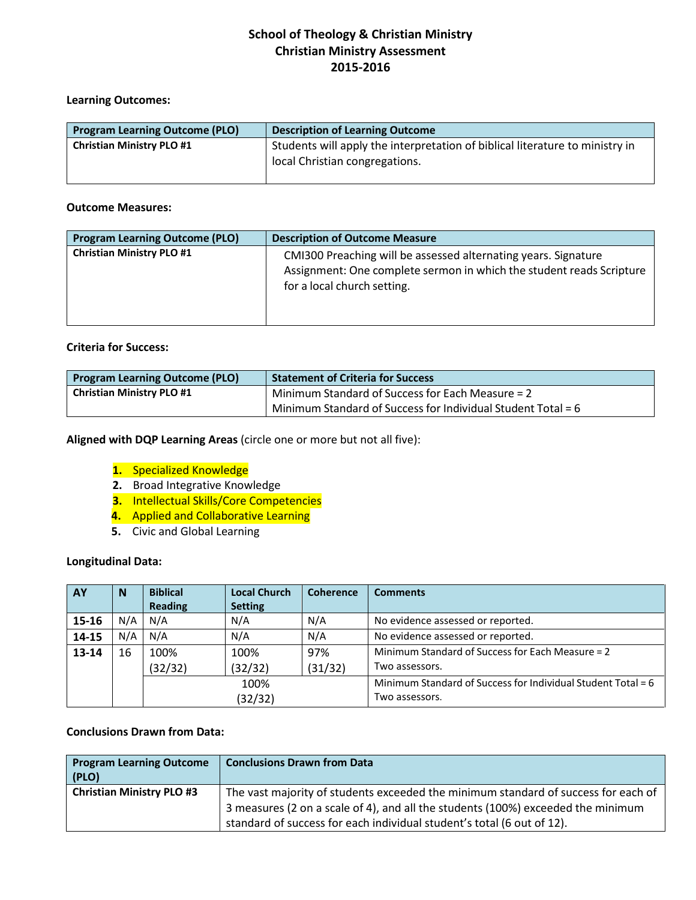# **School of Theology & Christian Ministry Christian Ministry Assessment 2015-2016**

## **Learning Outcomes:**

| <b>Program Learning Outcome (PLO)</b> | <b>Description of Learning Outcome</b>                                                                         |  |
|---------------------------------------|----------------------------------------------------------------------------------------------------------------|--|
| <b>Christian Ministry PLO #1</b>      | Students will apply the interpretation of biblical literature to ministry in<br>local Christian congregations. |  |
|                                       |                                                                                                                |  |

### **Outcome Measures:**

| <b>Program Learning Outcome (PLO)</b> | <b>Description of Outcome Measure</b>                                                                                                                                 |
|---------------------------------------|-----------------------------------------------------------------------------------------------------------------------------------------------------------------------|
| <b>Christian Ministry PLO #1</b>      | CMI300 Preaching will be assessed alternating years. Signature<br>Assignment: One complete sermon in which the student reads Scripture<br>for a local church setting. |

## **Criteria for Success:**

| <b>Program Learning Outcome (PLO)</b> | <b>Statement of Criteria for Success</b>                       |
|---------------------------------------|----------------------------------------------------------------|
| <b>Christian Ministry PLO #1</b>      | Minimum Standard of Success for Each Measure = 2               |
|                                       | Minimum Standard of Success for Individual Student Total = $6$ |

**Aligned with DQP Learning Areas** (circle one or more but not all five):

## **1.** Specialized Knowledge

- **2.** Broad Integrative Knowledge
- **3.** Intellectual Skills/Core Competencies
- **4.** Applied and Collaborative Learning
- **5.** Civic and Global Learning

## **Longitudinal Data:**

| AY        | N   | <b>Biblical</b> | <b>Local Church</b> | <b>Coherence</b> | <b>Comments</b>                                                |
|-----------|-----|-----------------|---------------------|------------------|----------------------------------------------------------------|
|           |     | <b>Reading</b>  | <b>Setting</b>      |                  |                                                                |
| 15-16     | N/A | N/A             | N/A                 | N/A              | No evidence assessed or reported.                              |
| 14-15     | N/A | N/A             | N/A                 | N/A              | No evidence assessed or reported.                              |
| $13 - 14$ | 16  | 100%            | 100%                | 97%              | Minimum Standard of Success for Each Measure = 2               |
|           |     | (32/32)         | (32/32)             | (31/32)          | Two assessors.                                                 |
|           |     |                 | 100%                |                  | Minimum Standard of Success for Individual Student Total = $6$ |
|           |     |                 | (32/32)             |                  | Two assessors.                                                 |

## **Conclusions Drawn from Data:**

| <b>Program Learning Outcome</b><br>$ $ (PLO) | <b>Conclusions Drawn from Data</b>                                                 |
|----------------------------------------------|------------------------------------------------------------------------------------|
| <b>Christian Ministry PLO #3</b>             | The vast majority of students exceeded the minimum standard of success for each of |
|                                              | 3 measures (2 on a scale of 4), and all the students (100%) exceeded the minimum   |
|                                              | standard of success for each individual student's total (6 out of 12).             |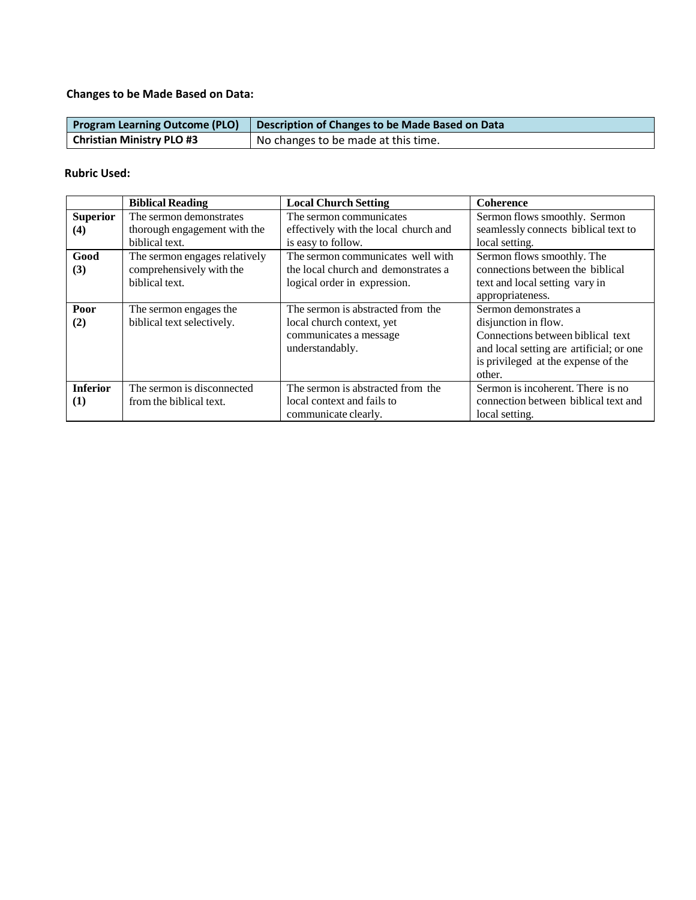**Changes to be Made Based on Data:**

| <b>Program Learning Outcome (PLO)</b> | Description of Changes to be Made Based on Data |
|---------------------------------------|-------------------------------------------------|
| <b>Christian Ministry PLO #3</b>      | No changes to be made at this time.             |

## **Rubric Used:**

|                 | <b>Biblical Reading</b>       | <b>Local Church Setting</b>           | Coherence                                |
|-----------------|-------------------------------|---------------------------------------|------------------------------------------|
| <b>Superior</b> | The sermon demonstrates       | The sermon communicates               | Sermon flows smoothly. Sermon            |
| (4)             | thorough engagement with the  | effectively with the local church and | seamlessly connects biblical text to     |
|                 | biblical text.                | is easy to follow.                    | local setting.                           |
| Good            | The sermon engages relatively | The sermon communicates well with     | Sermon flows smoothly. The               |
| (3)             | comprehensively with the      | the local church and demonstrates a   | connections between the biblical         |
|                 | biblical text.                | logical order in expression.          | text and local setting vary in           |
|                 |                               |                                       | appropriateness.                         |
| Poor            | The sermon engages the        | The sermon is abstracted from the     | Sermon demonstrates a                    |
| (2)             | biblical text selectively.    | local church context, yet             | disjunction in flow.                     |
|                 |                               | communicates a message                | Connections between biblical text        |
|                 |                               | understandably.                       | and local setting are artificial; or one |
|                 |                               |                                       | is privileged at the expense of the      |
|                 |                               |                                       | other.                                   |
| <b>Inferior</b> | The sermon is disconnected    | The sermon is abstracted from the     | Sermon is incoherent. There is no        |
| (1)             | from the biblical text.       | local context and fails to            | connection between biblical text and     |
|                 |                               | communicate clearly.                  | local setting.                           |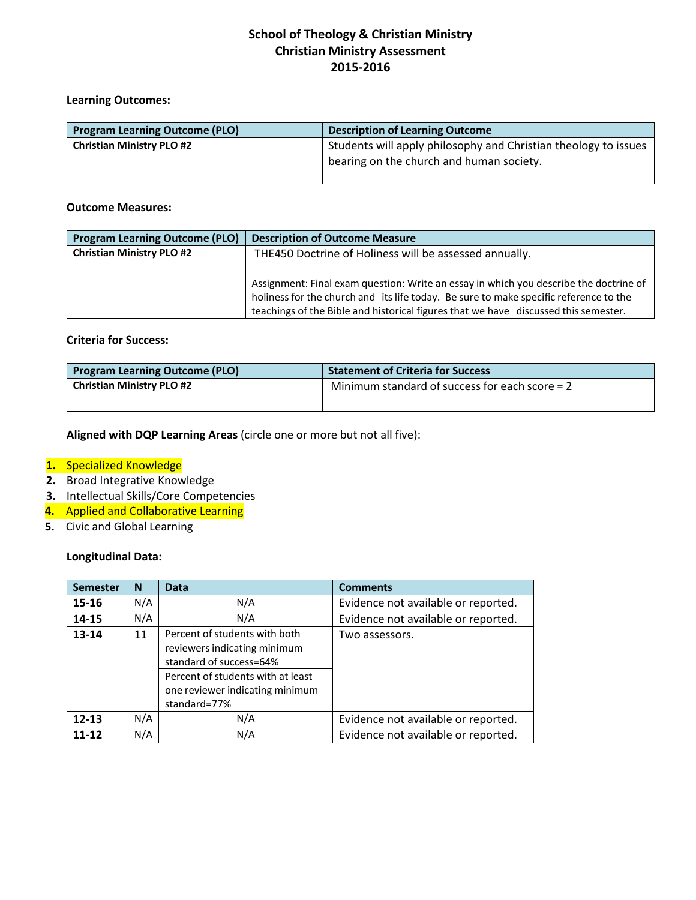# **School of Theology & Christian Ministry Christian Ministry Assessment 2015-2016**

## **Learning Outcomes:**

| <b>Program Learning Outcome (PLO)</b> | <b>Description of Learning Outcome</b>                          |  |
|---------------------------------------|-----------------------------------------------------------------|--|
| <b>Christian Ministry PLO #2</b>      | Students will apply philosophy and Christian theology to issues |  |
|                                       | bearing on the church and human society.                        |  |
|                                       |                                                                 |  |

### **Outcome Measures:**

| <b>Program Learning Outcome (PLO)</b> | <b>Description of Outcome Measure</b>                                                                                                                                                                                                                                 |
|---------------------------------------|-----------------------------------------------------------------------------------------------------------------------------------------------------------------------------------------------------------------------------------------------------------------------|
| <b>Christian Ministry PLO #2</b>      | THE450 Doctrine of Holiness will be assessed annually.                                                                                                                                                                                                                |
|                                       | Assignment: Final exam question: Write an essay in which you describe the doctrine of<br>holiness for the church and its life today. Be sure to make specific reference to the<br>teachings of the Bible and historical figures that we have discussed this semester. |

## **Criteria for Success:**

| <b>Program Learning Outcome (PLO)</b> | <b>Statement of Criteria for Success</b>         |  |
|---------------------------------------|--------------------------------------------------|--|
| <b>Christian Ministry PLO #2</b>      | Minimum standard of success for each score $= 2$ |  |
|                                       |                                                  |  |

**Aligned with DQP Learning Areas** (circle one or more but not all five):

# **1.** Specialized Knowledge

- **2.** Broad Integrative Knowledge
- **3.** Intellectual Skills/Core Competencies
- **4.** Applied and Collaborative Learning
- **5.** Civic and Global Learning

## **Longitudinal Data:**

| <b>Semester</b> | N   | Data                                                                                                                                                                             | <b>Comments</b>                     |
|-----------------|-----|----------------------------------------------------------------------------------------------------------------------------------------------------------------------------------|-------------------------------------|
| 15-16           | N/A | N/A                                                                                                                                                                              | Evidence not available or reported. |
| 14-15           | N/A | N/A                                                                                                                                                                              | Evidence not available or reported. |
| $13 - 14$       | 11  | Percent of students with both<br>reviewers indicating minimum<br>standard of success=64%<br>Percent of students with at least<br>one reviewer indicating minimum<br>standard=77% | Two assessors.                      |
| $12 - 13$       | N/A | N/A                                                                                                                                                                              | Evidence not available or reported. |
| $11 - 12$       | N/A | N/A                                                                                                                                                                              | Evidence not available or reported. |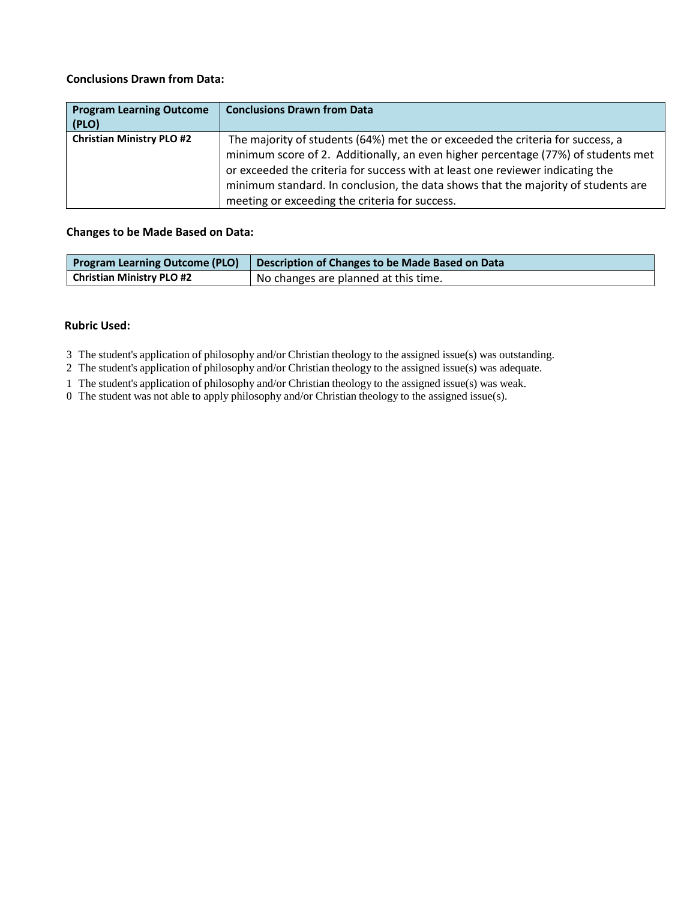## **Conclusions Drawn from Data:**

| <b>Program Learning Outcome</b><br>(PLO) | <b>Conclusions Drawn from Data</b>                                                                                                                                                                                                                                                                                                                                                           |
|------------------------------------------|----------------------------------------------------------------------------------------------------------------------------------------------------------------------------------------------------------------------------------------------------------------------------------------------------------------------------------------------------------------------------------------------|
| <b>Christian Ministry PLO #2</b>         | The majority of students (64%) met the or exceeded the criteria for success, a<br>minimum score of 2. Additionally, an even higher percentage (77%) of students met<br>or exceeded the criteria for success with at least one reviewer indicating the<br>minimum standard. In conclusion, the data shows that the majority of students are<br>meeting or exceeding the criteria for success. |

## **Changes to be Made Based on Data:**

| <b>Program Learning Outcome (PLO)</b> | <b>Description of Changes to be Made Based on Data</b> |
|---------------------------------------|--------------------------------------------------------|
| Christian Ministry PLO #2             | No changes are planned at this time.                   |

## **Rubric Used:**

3 The student's application of philosophy and/or Christian theology to the assigned issue(s) was outstanding.

2 The student's application of philosophy and/or Christian theology to the assigned issue(s) was adequate.

1 The student's application of philosophy and/or Christian theology to the assigned issue(s) was weak.

0 The student was not able to apply philosophy and/or Christian theology to the assigned issue(s).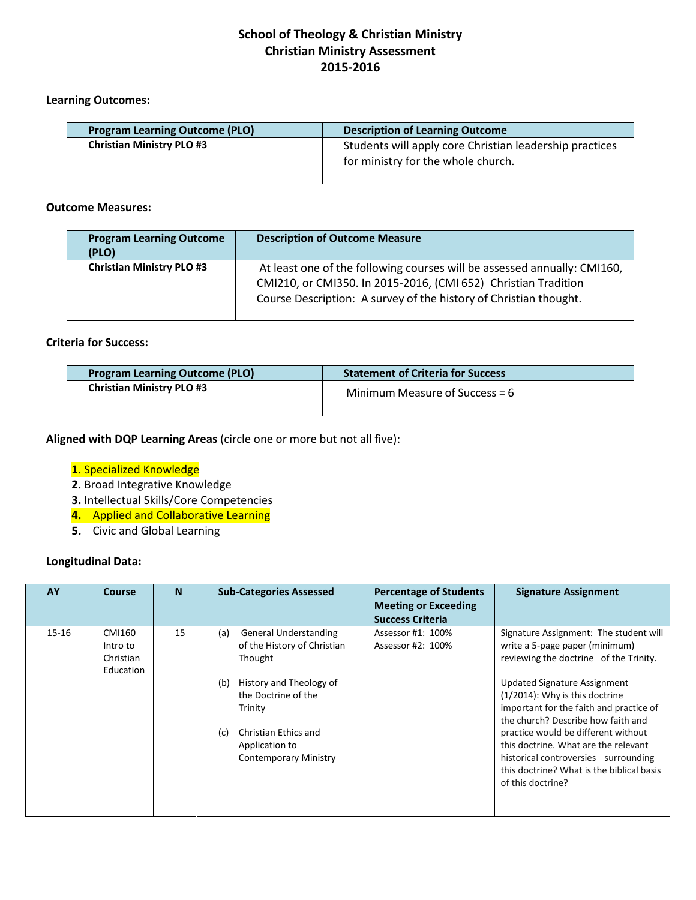# **School of Theology & Christian Ministry Christian Ministry Assessment 2015-2016**

## **Learning Outcomes:**

| <b>Program Learning Outcome (PLO)</b> | <b>Description of Learning Outcome</b>                                                        |
|---------------------------------------|-----------------------------------------------------------------------------------------------|
| <b>Christian Ministry PLO #3</b>      | Students will apply core Christian leadership practices<br>for ministry for the whole church. |

### **Outcome Measures:**

| <b>Program Learning Outcome</b><br>(PLO) | <b>Description of Outcome Measure</b>                                                                                                                                                                           |
|------------------------------------------|-----------------------------------------------------------------------------------------------------------------------------------------------------------------------------------------------------------------|
| <b>Christian Ministry PLO #3</b>         | At least one of the following courses will be assessed annually: CMI160,<br>CMI210, or CMI350. In 2015-2016, (CMI 652) Christian Tradition<br>Course Description: A survey of the history of Christian thought. |

## **Criteria for Success:**

| <b>Program Learning Outcome (PLO)</b> | <b>Statement of Criteria for Success</b> |
|---------------------------------------|------------------------------------------|
| <b>Christian Ministry PLO #3</b>      | Minimum Measure of Success $= 6$         |

**Aligned with DQP Learning Areas** (circle one or more but not all five):

## **1.** Specialized Knowledge

- **2.** Broad Integrative Knowledge
- **3.** Intellectual Skills/Core Competencies
- **4.** Applied and Collaborative Learning
- **5.** Civic and Global Learning

## **Longitudinal Data:**

| AY      | Course                                       | <b>N</b> | <b>Sub-Categories Assessed</b>                                                                                                                                                                                                     | <b>Percentage of Students</b><br><b>Meeting or Exceeding</b><br><b>Success Criteria</b> | <b>Signature Assignment</b>                                                                                                                                                                                                                                                                                                                                                                                                                                              |
|---------|----------------------------------------------|----------|------------------------------------------------------------------------------------------------------------------------------------------------------------------------------------------------------------------------------------|-----------------------------------------------------------------------------------------|--------------------------------------------------------------------------------------------------------------------------------------------------------------------------------------------------------------------------------------------------------------------------------------------------------------------------------------------------------------------------------------------------------------------------------------------------------------------------|
| $15-16$ | CMI160<br>Intro to<br>Christian<br>Education | 15       | <b>General Understanding</b><br>(a)<br>of the History of Christian<br>Thought<br>History and Theology of<br>(b)<br>the Doctrine of the<br>Trinity<br>Christian Ethics and<br>(c)<br>Application to<br><b>Contemporary Ministry</b> | Assessor #1: 100%<br>Assessor #2: 100%                                                  | Signature Assignment: The student will<br>write a 5-page paper (minimum)<br>reviewing the doctrine of the Trinity.<br><b>Updated Signature Assignment</b><br>$(1/2014)$ : Why is this doctrine<br>important for the faith and practice of<br>the church? Describe how faith and<br>practice would be different without<br>this doctrine. What are the relevant<br>historical controversies surrounding<br>this doctrine? What is the biblical basis<br>of this doctrine? |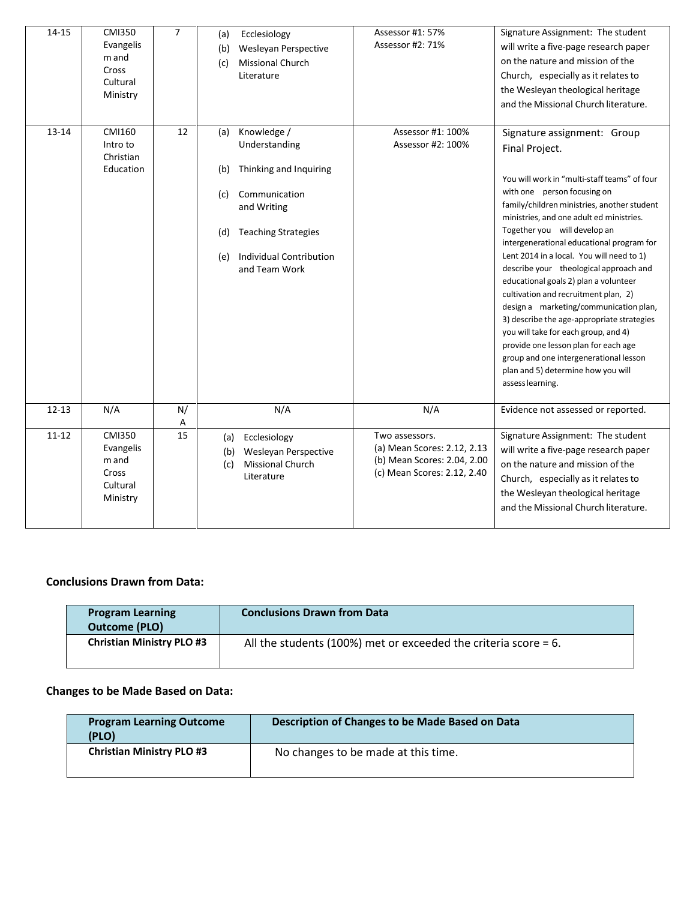| $14 - 15$ | <b>CMI350</b><br>Evangelis<br>m and<br>Cross<br>Cultural<br>Ministry | $\overline{7}$ | Ecclesiology<br>(a)<br>Wesleyan Perspective<br>(b)<br>Missional Church<br>(c)<br>Literature                                                                                                                | Assessor #1: 57%<br>Assessor #2: 71%                                                                        | Signature Assignment: The student<br>will write a five-page research paper<br>on the nature and mission of the<br>Church, especially as it relates to<br>the Wesleyan theological heritage<br>and the Missional Church literature.                                                                                                                                                                                                                                                                                                                                                                                                                                                                                                                       |
|-----------|----------------------------------------------------------------------|----------------|------------------------------------------------------------------------------------------------------------------------------------------------------------------------------------------------------------|-------------------------------------------------------------------------------------------------------------|----------------------------------------------------------------------------------------------------------------------------------------------------------------------------------------------------------------------------------------------------------------------------------------------------------------------------------------------------------------------------------------------------------------------------------------------------------------------------------------------------------------------------------------------------------------------------------------------------------------------------------------------------------------------------------------------------------------------------------------------------------|
| $13 - 14$ | CMI160<br>Intro to<br>Christian<br>Education                         | 12             | Knowledge /<br>(a)<br>Understanding<br>Thinking and Inquiring<br>(b)<br>Communication<br>(c)<br>and Writing<br><b>Teaching Strategies</b><br>(d)<br><b>Individual Contribution</b><br>(e)<br>and Team Work | Assessor #1: 100%<br>Assessor #2: 100%                                                                      | Signature assignment: Group<br>Final Project.<br>You will work in "multi-staff teams" of four<br>with one person focusing on<br>family/children ministries, another student<br>ministries, and one adult ed ministries.<br>Together you will develop an<br>intergenerational educational program for<br>Lent 2014 in a local. You will need to 1)<br>describe your theological approach and<br>educational goals 2) plan a volunteer<br>cultivation and recruitment plan, 2)<br>design a marketing/communication plan,<br>3) describe the age-appropriate strategies<br>you will take for each group, and 4)<br>provide one lesson plan for each age<br>group and one intergenerational lesson<br>plan and 5) determine how you will<br>assess learning. |
| $12 - 13$ | N/A                                                                  | N/<br>А        | N/A                                                                                                                                                                                                        | N/A                                                                                                         | Evidence not assessed or reported.                                                                                                                                                                                                                                                                                                                                                                                                                                                                                                                                                                                                                                                                                                                       |
| $11 - 12$ | <b>CMI350</b><br>Evangelis<br>m and<br>Cross<br>Cultural<br>Ministry | 15             | Ecclesiology<br>(a)<br>Wesleyan Perspective<br>(b)<br>Missional Church<br>(c)<br>Literature                                                                                                                | Two assessors.<br>(a) Mean Scores: 2.12, 2.13<br>(b) Mean Scores: 2.04, 2.00<br>(c) Mean Scores: 2.12, 2.40 | Signature Assignment: The student<br>will write a five-page research paper<br>on the nature and mission of the<br>Church, especially as it relates to<br>the Wesleyan theological heritage<br>and the Missional Church literature.                                                                                                                                                                                                                                                                                                                                                                                                                                                                                                                       |

# **Conclusions Drawn from Data:**

| <b>Program Learning</b><br><b>Outcome (PLO)</b> | <b>Conclusions Drawn from Data</b>                              |
|-------------------------------------------------|-----------------------------------------------------------------|
| <b>Christian Ministry PLO #3</b>                | All the students (100%) met or exceeded the criteria score = 6. |

# **Changes to be Made Based on Data:**

| <b>Program Learning Outcome</b><br>(PLO) | Description of Changes to be Made Based on Data |
|------------------------------------------|-------------------------------------------------|
| <b>Christian Ministry PLO #3</b>         | No changes to be made at this time.             |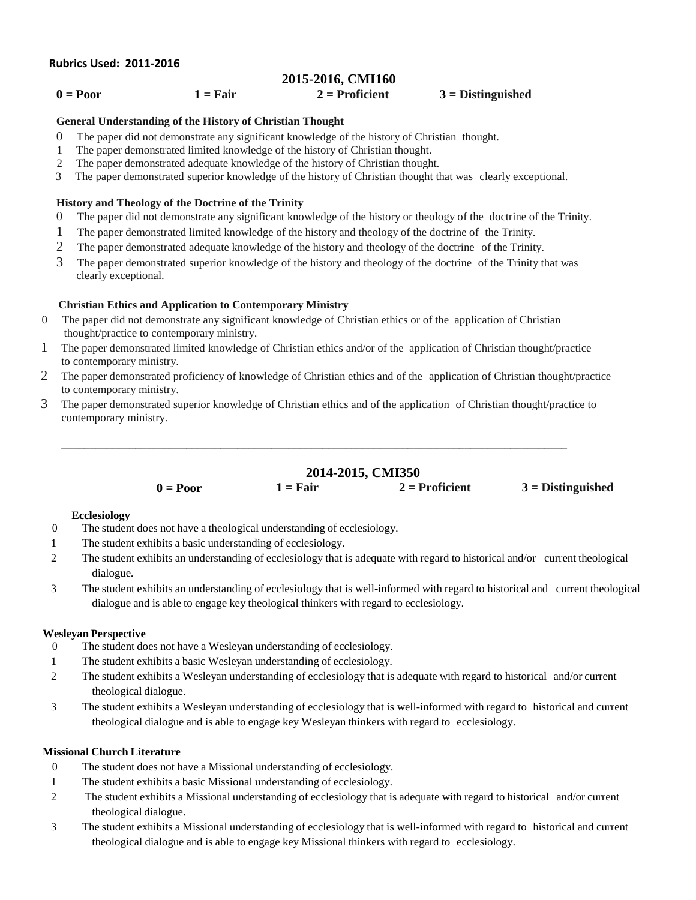## **2015-2016, CMI160**<br>**1** = Fair **2** = Proficient  $1 = Fair$   $2 = Proficient$   $3 = Distinguished$

### **General Understanding of the History of Christian Thought**

- 0 The paper did not demonstrate any significant knowledge of the history of Christian thought.
- 1 The paper demonstrated limited knowledge of the history of Christian thought.
- 2 The paper demonstrated adequate knowledge of the history of Christian thought.
- 3 The paper demonstrated superior knowledge of the history of Christian thought that was clearly exceptional.

### **History and Theology of the Doctrine of the Trinity**

- 0 The paper did not demonstrate any significant knowledge of the history or theology of the doctrine of the Trinity.
- 1 The paper demonstrated limited knowledge of the history and theology of the doctrine of the Trinity.
- 2 The paper demonstrated adequate knowledge of the history and theology of the doctrine of the Trinity.
- 3 The paper demonstrated superior knowledge of the history and theology of the doctrine of the Trinity that was clearly exceptional.

### **Christian Ethics and Application to Contemporary Ministry**

- 0 The paper did not demonstrate any significant knowledge of Christian ethics or of the application of Christian thought/practice to contemporary ministry.
- 1 The paper demonstrated limited knowledge of Christian ethics and/or of the application of Christian thought/practice to contemporary ministry.
- 2 The paper demonstrated proficiency of knowledge of Christian ethics and of the application of Christian thought/practice to contemporary ministry.
- 3 The paper demonstrated superior knowledge of Christian ethics and of the application of Christian thought/practice to contemporary ministry.

\_\_\_\_\_\_\_\_\_\_\_\_\_\_\_\_\_\_\_\_\_\_\_\_\_\_\_\_\_\_\_\_\_\_\_\_\_\_\_\_\_\_\_\_\_\_\_\_\_\_\_\_\_\_\_\_\_\_\_\_\_\_\_\_\_\_\_\_\_\_\_\_\_\_\_\_\_\_\_\_\_\_\_\_\_\_\_\_\_

## **2014-2015, CMI350**

| $0 = Poor$ | $1 = Fair$ | $2 =$ Proficient | $3 = Distinguished$ |
|------------|------------|------------------|---------------------|
|            |            |                  |                     |

### **Ecclesiology**

- 0 The student does not have a theological understanding of ecclesiology.
- 1 The student exhibits a basic understanding of ecclesiology.
- 2 The student exhibits an understanding of ecclesiology that is adequate with regard to historical and/or current theological dialogue.
- 3 The student exhibits an understanding of ecclesiology that is well-informed with regard to historical and current theological dialogue and is able to engage key theological thinkers with regard to ecclesiology.

### **Wesleyan Perspective**

- 0 The student does not have a Wesleyan understanding of ecclesiology.
- 1 The student exhibits a basic Wesleyan understanding of ecclesiology.
- 2 The student exhibits a Wesleyan understanding of ecclesiology that is adequate with regard to historical and/or current theological dialogue.
- 3 The student exhibits a Wesleyan understanding of ecclesiology that is well-informed with regard to historical and current theological dialogue and is able to engage key Wesleyan thinkers with regard to ecclesiology.

### **Missional Church Literature**

- 0 The student does not have a Missional understanding of ecclesiology.
- 1 The student exhibits a basic Missional understanding of ecclesiology.
- 2 The student exhibits a Missional understanding of ecclesiology that is adequate with regard to historical and/or current theological dialogue.
- 3 The student exhibits a Missional understanding of ecclesiology that is well-informed with regard to historical and current theological dialogue and is able to engage key Missional thinkers with regard to ecclesiology.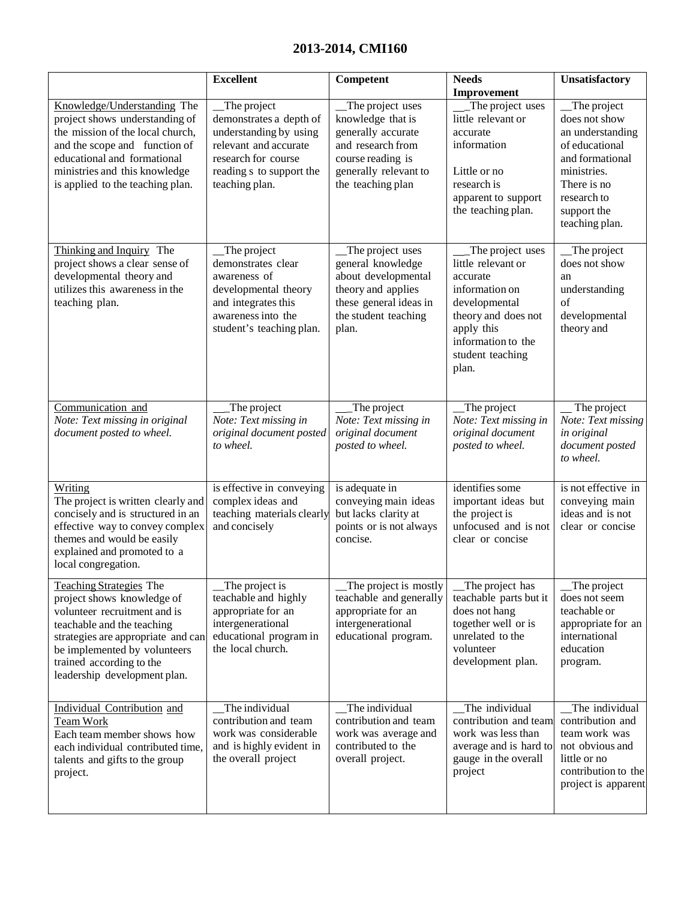# **2013-2014, CMI160**

|                                                                                                                                                                                                                                                              | <b>Excellent</b>                                                                                                                                               | Competent                                                                                                                                           | <b>Needs</b><br>Improvement                                                                                                                                                   | Unsatisfactory                                                                                                                                                                        |
|--------------------------------------------------------------------------------------------------------------------------------------------------------------------------------------------------------------------------------------------------------------|----------------------------------------------------------------------------------------------------------------------------------------------------------------|-----------------------------------------------------------------------------------------------------------------------------------------------------|-------------------------------------------------------------------------------------------------------------------------------------------------------------------------------|---------------------------------------------------------------------------------------------------------------------------------------------------------------------------------------|
| Knowledge/Understanding The<br>project shows understanding of<br>the mission of the local church,<br>and the scope and function of<br>educational and formational<br>ministries and this knowledge<br>is applied to the teaching plan.                       | The project<br>demonstrates a depth of<br>understanding by using<br>relevant and accurate<br>research for course<br>reading s to support the<br>teaching plan. | The project uses<br>knowledge that is<br>generally accurate<br>and research from<br>course reading is<br>generally relevant to<br>the teaching plan | The project uses<br>little relevant or<br>accurate<br>information<br>Little or no<br>research is<br>apparent to support<br>the teaching plan.                                 | $\mathbf{\Gamma}$ The project<br>does not show<br>an understanding<br>of educational<br>and formational<br>ministries.<br>There is no<br>research to<br>support the<br>teaching plan. |
| Thinking and Inquiry The<br>project shows a clear sense of<br>developmental theory and<br>utilizes this awareness in the<br>teaching plan.                                                                                                                   | The project<br>demonstrates clear<br>awareness of<br>developmental theory<br>and integrates this<br>awareness into the<br>student's teaching plan.             | The project uses<br>general knowledge<br>about developmental<br>theory and applies<br>these general ideas in<br>the student teaching<br>plan.       | The project uses<br>little relevant or<br>accurate<br>information on<br>developmental<br>theory and does not<br>apply this<br>information to the<br>student teaching<br>plan. | The project<br>does not show<br>an<br>understanding<br>of<br>developmental<br>theory and                                                                                              |
| Communication and<br>Note: Text missing in original<br>document posted to wheel.                                                                                                                                                                             | The project<br>Note: Text missing in<br>original document posted<br>to wheel.                                                                                  | The project<br>Note: Text missing in<br>original document<br>posted to wheel.                                                                       | The project<br>Note: Text missing in<br>original document<br>posted to wheel.                                                                                                 | The project<br>Note: Text missing<br>in original<br>document posted<br>to wheel.                                                                                                      |
| Writing<br>The project is written clearly and<br>concisely and is structured in an<br>effective way to convey complex<br>themes and would be easily<br>explained and promoted to a<br>local congregation.                                                    | is effective in conveying<br>complex ideas and<br>teaching materials clearly<br>and concisely                                                                  | is adequate in<br>conveying main ideas<br>but lacks clarity at<br>points or is not always<br>concise.                                               | identifies some<br>important ideas but<br>the project is<br>unfocused and is not<br>clear or concise                                                                          | is not effective in<br>conveying main<br>ideas and is not<br>clear or concise                                                                                                         |
| <b>Teaching Strategies The</b><br>project shows knowledge of<br>volunteer recruitment and is<br>teachable and the teaching<br>strategies are appropriate and can<br>be implemented by volunteers<br>trained according to the<br>leadership development plan. | The project is<br>teachable and highly<br>appropriate for an<br>intergenerational<br>educational program in<br>the local church.                               | The project is mostly<br>teachable and generally<br>appropriate for an<br>intergenerational<br>educational program.                                 | The project has<br>teachable parts but it<br>does not hang<br>together well or is<br>unrelated to the<br>volunteer<br>development plan.                                       | $\mathbf{\Gamma}$ The project<br>does not seem<br>teachable or<br>appropriate for an<br>international<br>education<br>program.                                                        |
| Individual Contribution and<br><b>Team Work</b><br>Each team member shows how<br>each individual contributed time,<br>talents and gifts to the group<br>project.                                                                                             | The individual<br>contribution and team<br>work was considerable<br>and is highly evident in<br>the overall project                                            | The individual<br>contribution and team<br>work was average and<br>contributed to the<br>overall project.                                           | The individual<br>contribution and team<br>work was less than<br>average and is hard to<br>gauge in the overall<br>project                                                    | The individual<br>contribution and<br>team work was<br>not obvious and<br>little or no<br>contribution to the<br>project is apparent                                                  |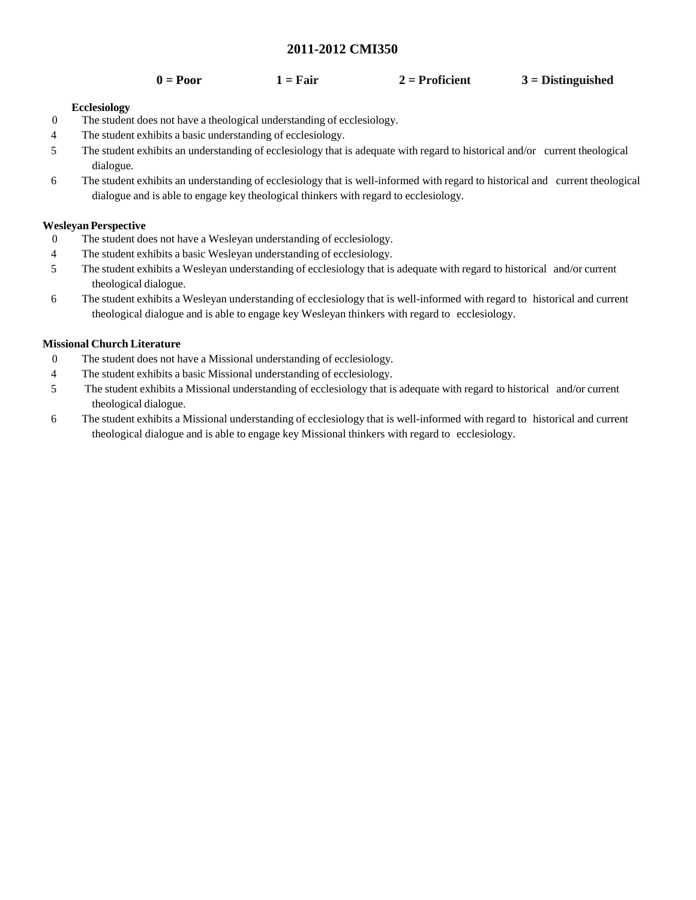## **2011-2012 CMI350**

| $0 = Poor$ | $1 = \text{Fair}$ | $2 =$ Proficient | $3 = Distinguished$ |
|------------|-------------------|------------------|---------------------|
|------------|-------------------|------------------|---------------------|

### **Ecclesiology**

- 0 The student does not have a theological understanding of ecclesiology.
- 4 The student exhibits a basic understanding of ecclesiology.
- 5 The student exhibits an understanding of ecclesiology that is adequate with regard to historical and/or current theological dialogue.
- 6 The student exhibits an understanding of ecclesiology that is well-informed with regard to historical and current theological dialogue and is able to engage key theological thinkers with regard to ecclesiology.

### **Wesleyan Perspective**

- 0 The student does not have a Wesleyan understanding of ecclesiology.
- 4 The student exhibits a basic Wesleyan understanding of ecclesiology.
- 5 The student exhibits a Wesleyan understanding of ecclesiology that is adequate with regard to historical and/or current theological dialogue.
- 6 The student exhibits a Wesleyan understanding of ecclesiology that is well-informed with regard to historical and current theological dialogue and is able to engage key Wesleyan thinkers with regard to ecclesiology.

## **Missional Church Literature**

- 0 The student does not have a Missional understanding of ecclesiology.
- 4 The student exhibits a basic Missional understanding of ecclesiology.
- 5 The student exhibits a Missional understanding of ecclesiology that is adequate with regard to historical and/or current theological dialogue.
- 6 The student exhibits a Missional understanding of ecclesiology that is well-informed with regard to historical and current theological dialogue and is able to engage key Missional thinkers with regard to ecclesiology.